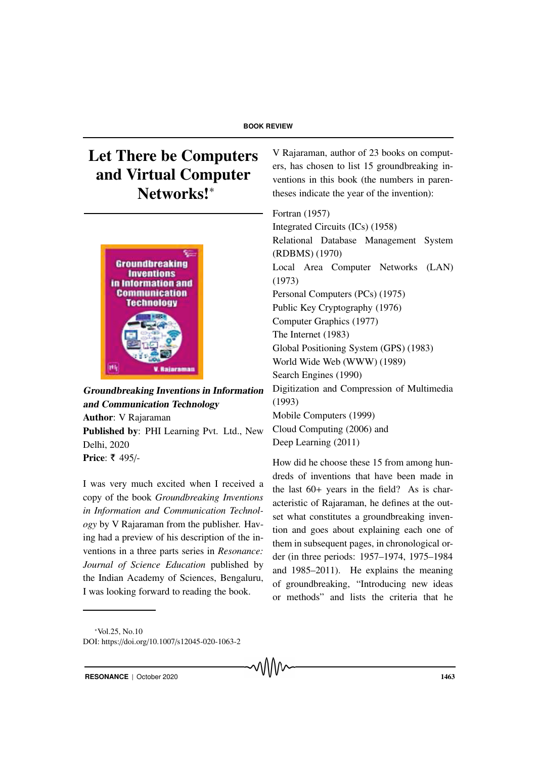# Let There be Computers and Virtual Computer Networks!<sup>∗</sup>



Groundbreaking Inventions in Information and Communication Technology Author: V Rajaraman Published by: PHI Learning Pvt. Ltd., New Delhi, 2020 Price: ₹ 495/-

I was very much excited when I received a copy of the book *Groundbreaking Inventions in Information and Communication Technology* by V Rajaraman from the publisher. Having had a preview of his description of the inventions in a three parts series in *Resonance: Journal of Science Education* published by the Indian Academy of Sciences, Bengaluru, I was looking forward to reading the book.

V Rajaraman, author of 23 books on computers, has chosen to list 15 groundbreaking inventions in this book (the numbers in parentheses indicate the year of the invention):

## Fortran (1957)

Integrated Circuits (ICs) (1958) Relational Database Management System (RDBMS) (1970) Local Area Computer Networks (LAN) (1973) Personal Computers (PCs) (1975) Public Key Cryptography (1976) Computer Graphics (1977) The Internet (1983) Global Positioning System (GPS) (1983) World Wide Web (WWW) (1989) Search Engines (1990) Digitization and Compression of Multimedia (1993) Mobile Computers (1999) Cloud Computing (2006) and Deep Learning (2011)

How did he choose these 15 from among hundreds of inventions that have been made in the last 60+ years in the field? As is characteristic of Rajaraman, he defines at the outset what constitutes a groundbreaking invention and goes about explaining each one of them in subsequent pages, in chronological order (in three periods: 1957–1974, 1975–1984 and 1985–2011). He explains the meaning of groundbreaking, "Introducing new ideas or methods" and lists the criteria that he

**RESONANCE** | October 2020 1463

<sup>∗</sup>Vol.25, No.10

DOI: https://doi.org/10.1007/s12045-020-1063-2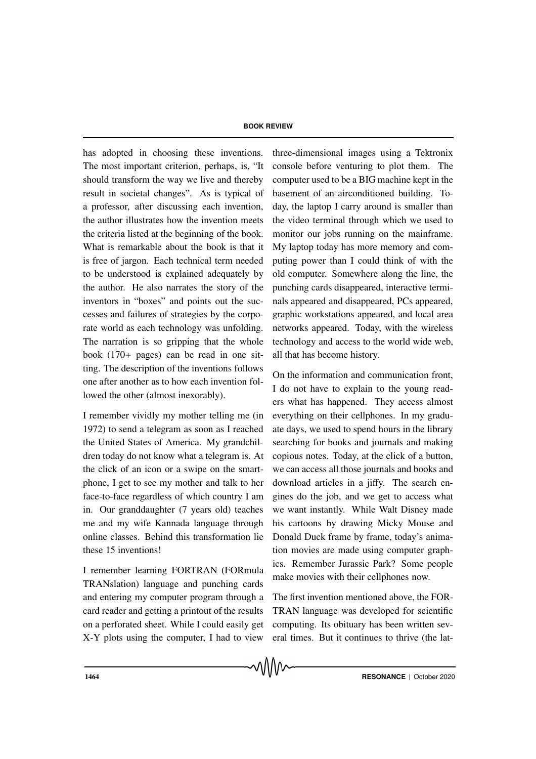has adopted in choosing these inventions. The most important criterion, perhaps, is, "It should transform the way we live and thereby result in societal changes". As is typical of a professor, after discussing each invention, the author illustrates how the invention meets the criteria listed at the beginning of the book. What is remarkable about the book is that it is free of jargon. Each technical term needed to be understood is explained adequately by the author. He also narrates the story of the inventors in "boxes" and points out the successes and failures of strategies by the corporate world as each technology was unfolding. The narration is so gripping that the whole book (170+ pages) can be read in one sitting. The description of the inventions follows one after another as to how each invention followed the other (almost inexorably).

I remember vividly my mother telling me (in 1972) to send a telegram as soon as I reached the United States of America. My grandchildren today do not know what a telegram is. At the click of an icon or a swipe on the smartphone, I get to see my mother and talk to her face-to-face regardless of which country I am in. Our granddaughter (7 years old) teaches me and my wife Kannada language through online classes. Behind this transformation lie these 15 inventions!

I remember learning FORTRAN (FORmula TRANslation) language and punching cards and entering my computer program through a card reader and getting a printout of the results on a perforated sheet. While I could easily get X-Y plots using the computer, I had to view

three-dimensional images using a Tektronix console before venturing to plot them. The computer used to be a BIG machine kept in the basement of an airconditioned building. Today, the laptop I carry around is smaller than the video terminal through which we used to monitor our jobs running on the mainframe. My laptop today has more memory and computing power than I could think of with the old computer. Somewhere along the line, the punching cards disappeared, interactive terminals appeared and disappeared, PCs appeared, graphic workstations appeared, and local area networks appeared. Today, with the wireless technology and access to the world wide web, all that has become history.

On the information and communication front, I do not have to explain to the young readers what has happened. They access almost everything on their cellphones. In my graduate days, we used to spend hours in the library searching for books and journals and making copious notes. Today, at the click of a button, we can access all those journals and books and download articles in a jiffy. The search engines do the job, and we get to access what we want instantly. While Walt Disney made his cartoons by drawing Micky Mouse and Donald Duck frame by frame, today's animation movies are made using computer graphics. Remember Jurassic Park? Some people make movies with their cellphones now.

The first invention mentioned above, the FOR-TRAN language was developed for scientific computing. Its obituary has been written several times. But it continues to thrive (the lat-

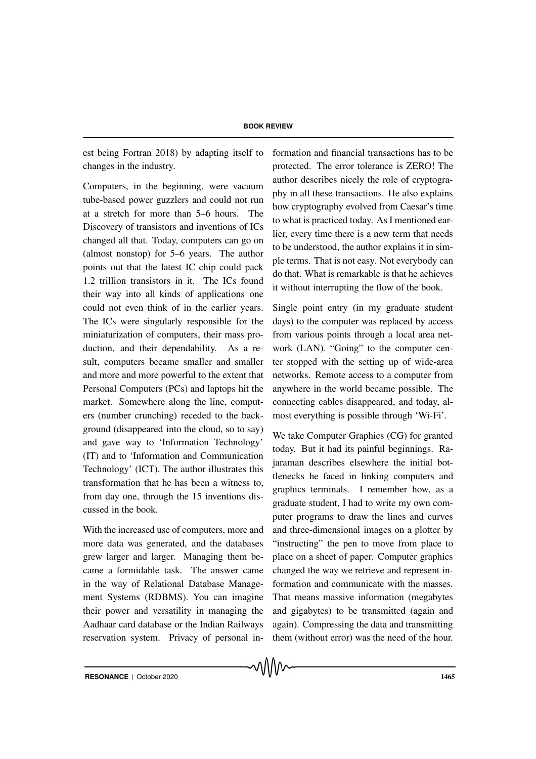est being Fortran 2018) by adapting itself to changes in the industry.

Computers, in the beginning, were vacuum tube-based power guzzlers and could not run at a stretch for more than 5–6 hours. The Discovery of transistors and inventions of ICs changed all that. Today, computers can go on (almost nonstop) for 5–6 years. The author points out that the latest IC chip could pack 1.2 trillion transistors in it. The ICs found their way into all kinds of applications one could not even think of in the earlier years. The ICs were singularly responsible for the miniaturization of computers, their mass production, and their dependability. As a result, computers became smaller and smaller and more and more powerful to the extent that Personal Computers (PCs) and laptops hit the market. Somewhere along the line, computers (number crunching) receded to the background (disappeared into the cloud, so to say) and gave way to 'Information Technology' (IT) and to 'Information and Communication Technology' (ICT). The author illustrates this transformation that he has been a witness to, from day one, through the 15 inventions discussed in the book.

With the increased use of computers, more and more data was generated, and the databases grew larger and larger. Managing them became a formidable task. The answer came in the way of Relational Database Management Systems (RDBMS). You can imagine their power and versatility in managing the Aadhaar card database or the Indian Railways reservation system. Privacy of personal information and financial transactions has to be protected. The error tolerance is ZERO! The author describes nicely the role of cryptography in all these transactions. He also explains how cryptography evolved from Caesar's time to what is practiced today. As I mentioned earlier, every time there is a new term that needs to be understood, the author explains it in simple terms. That is not easy. Not everybody can do that. What is remarkable is that he achieves it without interrupting the flow of the book.

Single point entry (in my graduate student days) to the computer was replaced by access from various points through a local area network (LAN). "Going" to the computer center stopped with the setting up of wide-area networks. Remote access to a computer from anywhere in the world became possible. The connecting cables disappeared, and today, almost everything is possible through 'Wi-Fi'.

We take Computer Graphics (CG) for granted today. But it had its painful beginnings. Rajaraman describes elsewhere the initial bottlenecks he faced in linking computers and graphics terminals. I remember how, as a graduate student, I had to write my own computer programs to draw the lines and curves and three-dimensional images on a plotter by "instructing" the pen to move from place to place on a sheet of paper. Computer graphics changed the way we retrieve and represent information and communicate with the masses. That means massive information (megabytes and gigabytes) to be transmitted (again and again). Compressing the data and transmitting them (without error) was the need of the hour.